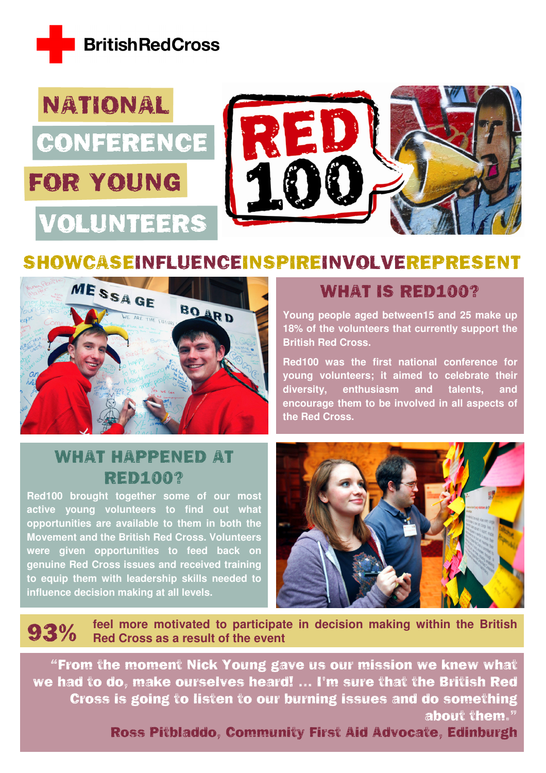



# SHOWCASEINFLUENCEINSPIREINVOLVEREPRESENT



# WHAT HAPPENED AT RED100?

**Red100 brought together some of our most active young volunteers to find out what opportunities are available to them in both the Movement and the British Red Cross. Volunteers were given opportunities to feed back on genuine Red Cross issues and received training to equip them with leadership skills needed to influence decision making at all levels.** 

### WHAT IS RED100?

**Young people aged between15 and 25 make up 18% of the volunteers that currently support the British Red Cross.** 

**Red100 was the first national conference for young volunteers; it aimed to celebrate their diversity, enthusiasm and talents, and encourage them to be involved in all aspects of the Red Cross.**



**93%** feel more motivated to participate in decision making within the British Red Cross as a result of the event

"From the moment Nick Young gave us our mission we knew what we had to do, make ourselves heard! … I'm sure that the British Red Cross is going to listen to our burning issues and do something about them."

Ross Pitbladdo, Community First Aid Advocate, Edinburgh